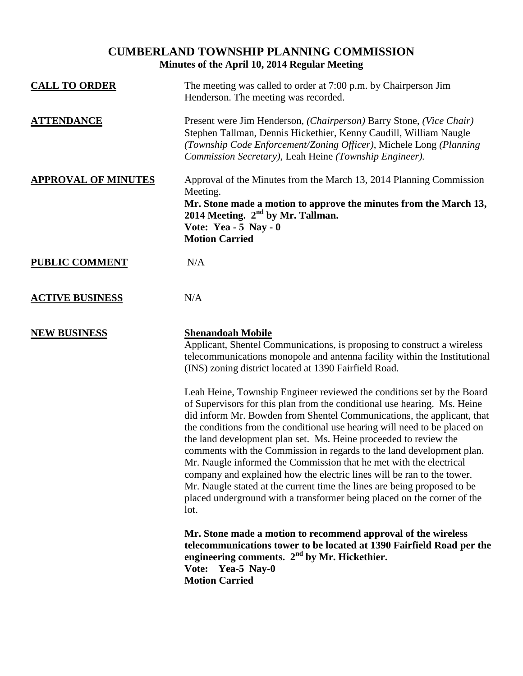## **CUMBERLAND TOWNSHIP PLANNING COMMISSION Minutes of the April 10, 2014 Regular Meeting**

| <b>CALL TO ORDER</b>       | The meeting was called to order at 7:00 p.m. by Chairperson Jim<br>Henderson. The meeting was recorded.                                                                                                                                                                                                                                                                                                                                                                                                                                                                                                                                                                                                                                                               |
|----------------------------|-----------------------------------------------------------------------------------------------------------------------------------------------------------------------------------------------------------------------------------------------------------------------------------------------------------------------------------------------------------------------------------------------------------------------------------------------------------------------------------------------------------------------------------------------------------------------------------------------------------------------------------------------------------------------------------------------------------------------------------------------------------------------|
| <b>ATTENDANCE</b>          | Present were Jim Henderson, (Chairperson) Barry Stone, (Vice Chair)<br>Stephen Tallman, Dennis Hickethier, Kenny Caudill, William Naugle<br>(Township Code Enforcement/Zoning Officer), Michele Long (Planning<br>Commission Secretary), Leah Heine (Township Engineer).                                                                                                                                                                                                                                                                                                                                                                                                                                                                                              |
| <b>APPROVAL OF MINUTES</b> | Approval of the Minutes from the March 13, 2014 Planning Commission<br>Meeting.<br>Mr. Stone made a motion to approve the minutes from the March 13,<br>2014 Meeting. $2nd$ by Mr. Tallman.<br>Vote: Yea - $5$ Nay - 0<br><b>Motion Carried</b>                                                                                                                                                                                                                                                                                                                                                                                                                                                                                                                       |
| <b>PUBLIC COMMENT</b>      | N/A                                                                                                                                                                                                                                                                                                                                                                                                                                                                                                                                                                                                                                                                                                                                                                   |
| <b>ACTIVE BUSINESS</b>     | N/A                                                                                                                                                                                                                                                                                                                                                                                                                                                                                                                                                                                                                                                                                                                                                                   |
| <b>NEW BUSINESS</b>        | <b>Shenandoah Mobile</b><br>Applicant, Shentel Communications, is proposing to construct a wireless<br>telecommunications monopole and antenna facility within the Institutional<br>(INS) zoning district located at 1390 Fairfield Road.                                                                                                                                                                                                                                                                                                                                                                                                                                                                                                                             |
|                            | Leah Heine, Township Engineer reviewed the conditions set by the Board<br>of Supervisors for this plan from the conditional use hearing. Ms. Heine<br>did inform Mr. Bowden from Shentel Communications, the applicant, that<br>the conditions from the conditional use hearing will need to be placed on<br>the land development plan set. Ms. Heine proceeded to review the<br>comments with the Commission in regards to the land development plan.<br>Mr. Naugle informed the Commission that he met with the electrical<br>company and explained how the electric lines will be ran to the tower.<br>Mr. Naugle stated at the current time the lines are being proposed to be<br>placed underground with a transformer being placed on the corner of the<br>lot. |
|                            | Mr. Stone made a motion to recommend approval of the wireless<br>telecommunications tower to be located at 1390 Fairfield Road per the<br>engineering comments. $2nd$ by Mr. Hickethier.<br>Vote: Yea-5 Nay-0<br><b>Motion Carried</b>                                                                                                                                                                                                                                                                                                                                                                                                                                                                                                                                |